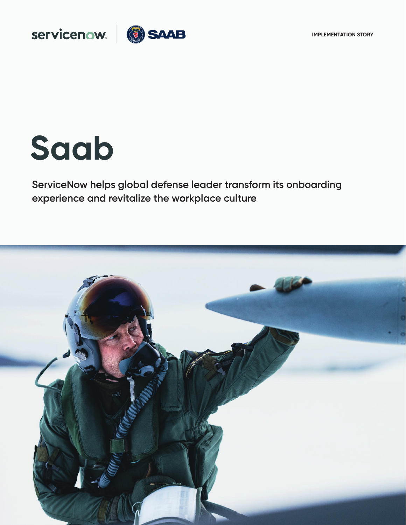

# Servicenow. 3 SAAB

# **Saab**

**ServiceNow helps global defense leader transform its onboarding experience and revitalize the workplace culture** 

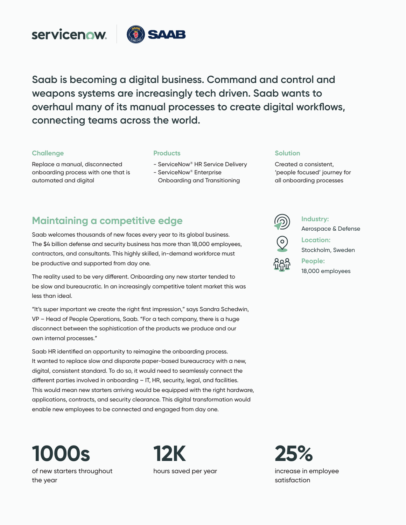

**Saab is becoming a digital business. Command and control and weapons systems are increasingly tech driven. Saab wants to overhaul many of its manual processes to create digital workflows, connecting teams across the world.** 

## **Challenge**

Replace a manual, disconnected onboarding process with one that is

automated and digital

### **Products**

- ServiceNow® HR Service Delivery
- ServiceNow® Enterprise Onboarding and Transitioning

## **Maintaining a competitive edge**

Saab welcomes thousands of new faces every year to its global business. The \$4 billion defense and security business has more than 18,000 employees, contractors, and consultants. This highly skilled, in-demand workforce must be productive and supported from day one.

The reality used to be very different. Onboarding any new starter tended to be slow and bureaucratic. In an increasingly competitive talent market this was less than ideal.

"It's super important we create the right first impression," says Sandra Schedwin, VP – Head of People Operations, Saab. "For a tech company, there is a huge disconnect between the sophistication of the products we produce and our own internal processes."

Saab HR identified an opportunity to reimagine the onboarding process. It wanted to replace slow and disparate paper-based bureaucracy with a new, digital, consistent standard. To do so, it would need to seamlessly connect the different parties involved in onboarding – IT, HR, security, legal, and facilities. This would mean new starters arriving would be equipped with the right hardware, applications, contracts, and security clearance. This digital transformation would enable new employees to be connected and engaged from day one.

**1000s** of new starters throughout the year







**Solution**

Created a consistent, 'people focused' journey for all onboarding processes

**Industry:**

**Location:** 

Aerospace & Defense

 $\odot$ 

Stockholm, Sweden

**People:**  18,000 employees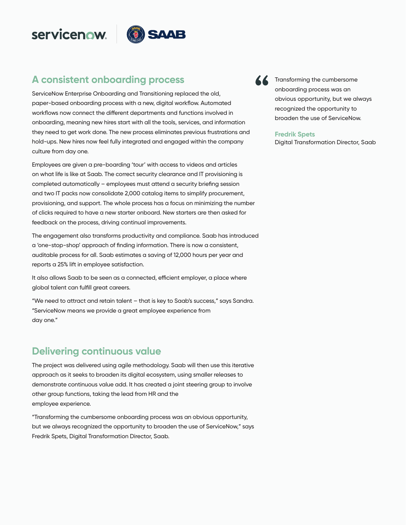# servicenow.



## **A consistent onboarding process**

ServiceNow Enterprise Onboarding and Transitioning replaced the old, paper-based onboarding process with a new, digital workflow. Automated workflows now connect the different departments and functions involved in onboarding, meaning new hires start with all the tools, services, and information they need to get work done. The new process eliminates previous frustrations and hold-ups. New hires now feel fully integrated and engaged within the company culture from day one.

Employees are given a pre-boarding 'tour' with access to videos and articles on what life is like at Saab. The correct security clearance and IT provisioning is completed automatically – employees must attend a security briefing session and two IT packs now consolidate 2,000 catalog items to simplify procurement, provisioning, and support. The whole process has a focus on minimizing the number of clicks required to have a new starter onboard. New starters are then asked for feedback on the process, driving continual improvements.

The engagement also transforms productivity and compliance. Saab has introduced a 'one-stop-shop' approach of finding information. There is now a consistent, auditable process for all. Saab estimates a saving of 12,000 hours per year and reports a 25% lift in employee satisfaction.

It also allows Saab to be seen as a connected, efficient employer, a place where global talent can fulfill great careers.

"We need to attract and retain talent – that is key to Saab's success," says Sandra. "ServiceNow means we provide a great employee experience from day one."

## **Delivering continuous value**

The project was delivered using agile methodology. Saab will then use this iterative approach as it seeks to broaden its digital ecosystem, using smaller releases to demonstrate continuous value add. It has created a joint steering group to involve other group functions, taking the lead from HR and the employee experience.

"Transforming the cumbersome onboarding process was an obvious opportunity, but we always recognized the opportunity to broaden the use of ServiceNow," says Fredrik Spets, Digital Transformation Director, Saab.



**Transforming the cumbersome** onboarding process was an obvious opportunity, but we always recognized the opportunity to broaden the use of ServiceNow.

#### **Fredrik Spets**

Digital Transformation Director, Saab